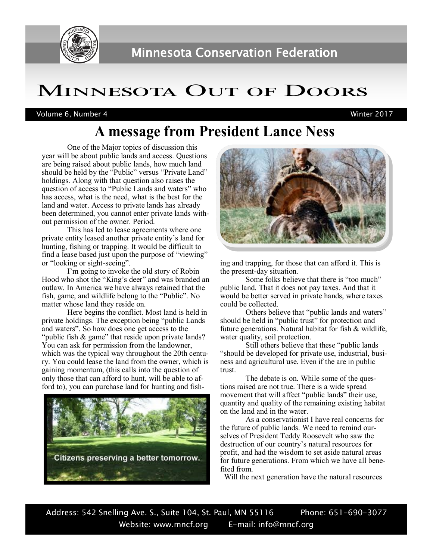

# Minnesota Out of Doors

Volume 6, Number 4 Winter 2017

## **A message from President Lance Ness**

One of the Major topics of discussion this year will be about public lands and access. Questions are being raised about public lands, how much land should be held by the "Public" versus "Private Land" holdings. Along with that question also raises the question of access to "Public Lands and waters" who has access, what is the need, what is the best for the land and water. Access to private lands has already been determined, you cannot enter private lands without permission of the owner. Period.

This has led to lease agreements where one private entity leased another private entity's land for hunting, fishing or trapping. It would be difficult to find a lease based just upon the purpose of "viewing" or "looking or sight-seeing".

I'm going to invoke the old story of Robin Hood who shot the "King's deer" and was branded an outlaw. In America we have always retained that the fish, game, and wildlife belong to the "Public". No matter whose land they reside on.

Here begins the conflict. Most land is held in private holdings. The exception being "public Lands and waters". So how does one get access to the "public fish & game" that reside upon private lands? You can ask for permission from the landowner, which was the typical way throughout the 20th century. You could lease the land from the owner, which is gaining momentum, (this calls into the question of only those that can afford to hunt, will be able to afford to), you can purchase land for hunting and fish-





ing and trapping, for those that can afford it. This is the present-day situation.

Some folks believe that there is "too much" public land. That it does not pay taxes. And that it would be better served in private hands, where taxes could be collected.

Others believe that "public lands and waters" should be held in "public trust" for protection and future generations. Natural habitat for fish & wildlife, water quality, soil protection.

Still others believe that these "public lands "should be developed for private use, industrial, business and agricultural use. Even if the are in public trust.

The debate is on. While some of the questions raised are not true. There is a wide spread movement that will affect "public lands" their use, quantity and quality of the remaining existing habitat on the land and in the water.

As a conservationist I have real concerns for the future of public lands. We need to remind ourselves of President Teddy Roosevelt who saw the destruction of our country's natural resources for profit, and had the wisdom to set aside natural areas for future generations. From which we have all benefited from.

Will the next generation have the natural resources

Address: 542 Snelling Ave. S., Suite 104, St. Paul, MN 55116 Phone: 651-690-3077 Website: www.mncf.org E-mail: info@mncf.org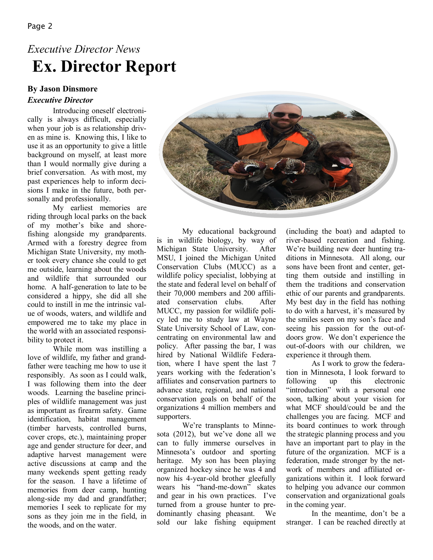## **Ex. Director Report**  *Executive Director News*

## **By Jason Dinsmore**

#### *Executive Director*

Introducing oneself electronically is always difficult, especially when your job is as relationship driven as mine is. Knowing this, I like to use it as an opportunity to give a little background on myself, at least more than I would normally give during a brief conversation. As with most, my past experiences help to inform decisions I make in the future, both personally and professionally.

My earliest memories are riding through local parks on the back of my mother's bike and shorefishing alongside my grandparents. Armed with a forestry degree from Michigan State University, my mother took every chance she could to get me outside, learning about the woods and wildlife that surrounded our home. A half-generation to late to be considered a hippy, she did all she could to instill in me the intrinsic value of woods, waters, and wildlife and empowered me to take my place in the world with an associated responsibility to protect it.

While mom was instilling a love of wildlife, my father and grandfather were teaching me how to use it responsibly. As soon as I could walk, I was following them into the deer woods. Learning the baseline principles of wildlife management was just as important as firearm safety. Game identification, habitat management (timber harvests, controlled burns, cover crops, etc.), maintaining proper age and gender structure for deer, and adaptive harvest management were active discussions at camp and the many weekends spent getting ready for the season. I have a lifetime of memories from deer camp, hunting along-side my dad and grandfather; memories I seek to replicate for my sons as they join me in the field, in the woods, and on the water.



My educational background is in wildlife biology, by way of Michigan State University. After MSU, I joined the Michigan United Conservation Clubs (MUCC) as a wildlife policy specialist, lobbying at the state and federal level on behalf of their 70,000 members and 200 affiliated conservation clubs. After MUCC, my passion for wildlife policy led me to study law at Wayne State University School of Law, concentrating on environmental law and policy. After passing the bar, I was hired by National Wildlife Federation, where I have spent the last 7 years working with the federation's affiliates and conservation partners to advance state, regional, and national conservation goals on behalf of the organizations 4 million members and supporters.

We're transplants to Minnesota (2012), but we've done all we can to fully immerse ourselves in Minnesota's outdoor and sporting heritage. My son has been playing organized hockey since he was 4 and now his 4-year-old brother gleefully wears his "hand-me-down" skates and gear in his own practices. I've turned from a grouse hunter to predominantly chasing pheasant. We sold our lake fishing equipment (including the boat) and adapted to river-based recreation and fishing. We're building new deer hunting traditions in Minnesota. All along, our sons have been front and center, getting them outside and instilling in them the traditions and conservation ethic of our parents and grandparents. My best day in the field has nothing to do with a harvest, it's measured by the smiles seen on my son's face and seeing his passion for the out-ofdoors grow. We don't experience the out-of-doors with our children, we experience it through them.

As I work to grow the federation in Minnesota, I look forward to following up this electronic "introduction" with a personal one soon, talking about your vision for what MCF should/could be and the challenges you are facing. MCF and its board continues to work through the strategic planning process and you have an important part to play in the future of the organization. MCF is a federation, made stronger by the network of members and affiliated organizations within it. I look forward to helping you advance our common conservation and organizational goals in the coming year.

In the meantime, don't be a stranger. I can be reached directly at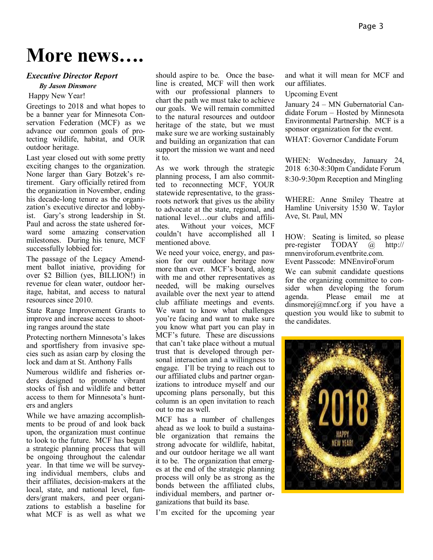# **More news….**

#### *Executive Director Report*

#### *By Jason Dinsmore*

Happy New Year!

Greetings to 2018 and what hopes to be a banner year for Minnesota Conservation Federation (MCF) as we advance our common goals of protecting wildlife, habitat, and OUR outdoor heritage.

Last year closed out with some pretty exciting changes to the organization. None larger than Gary Botzek's retirement. Gary officially retired from the organization in November, ending his decade-long tenure as the organization's executive director and lobbyist. Gary's strong leadership in St. Paul and across the state ushered forward some amazing conservation milestones. During his tenure, MCF successfully lobbied for:

The passage of the Legacy Amendment ballot iniative, providing for over \$2 Billion (yes, BILLION!) in revenue for clean water, outdoor heritage, habitat, and access to natural resources since 2010.

State Range Improvement Grants to improve and increase access to shooting ranges around the state

Protecting northern Minnesota's lakes and sportfishery from invasive species such as asian carp by closing the lock and dam at St. Anthony Falls

Numerous wildlife and fisheries orders designed to promote vibrant stocks of fish and wildlife and better access to them for Minnesota's hunters and anglers

While we have amazing accomplishments to be proud of and look back upon, the organization must continue to look to the future. MCF has begun a strategic planning process that will be ongoing throughout the calendar year. In that time we will be surveying individual members, clubs and their affiliates, decision-makers at the local, state, and national level, funders/grant makers, and peer organizations to establish a baseline for what MCF is as well as what we

should aspire to be. Once the baseline is created, MCF will then work with our professional planners to chart the path we must take to achieve our goals. We will remain committed to the natural resources and outdoor heritage of the state, but we must make sure we are working sustainably and building an organization that can support the mission we want and need it to.

As we work through the strategic planning process, I am also committed to reconnecting MCF, YOUR statewide representative, to the grassroots network that gives us the ability to advocate at the state, regional, and national level…our clubs and affiliates. Without your voices, MCF couldn't have accomplished all I mentioned above.

We need your voice, energy, and passion for our outdoor heritage now more than ever. MCF's board, along with me and other representatives as needed, will be making ourselves available over the next year to attend club affiliate meetings and events. We want to know what challenges you're facing and want to make sure you know what part you can play in MCF's future. These are discussions that can't take place without a mutual trust that is developed through personal interaction and a willingness to engage. I'll be trying to reach out to our affiliated clubs and partner organizations to introduce myself and our upcoming plans personally, but this column is an open invitation to reach out to me as well.

MCF has a number of challenges ahead as we look to build a sustainable organization that remains the strong advocate for wildlife, habitat, and our outdoor heritage we all want it to be. The organization that emerges at the end of the strategic planning process will only be as strong as the bonds between the affiliated clubs, individual members, and partner organizations that build its base.

I'm excited for the upcoming year

and what it will mean for MCF and our affiliates.

Upcoming Event

January 24 – MN Gubernatorial Candidate Forum – Hosted by Minnesota Environmental Partnership. MCF is a sponsor organization for the event.

WHAT: Governor Candidate Forum

WHEN: Wednesday, January 24, 2018 6:30-8:30pm Candidate Forum 8:30-9:30pm Reception and Mingling

WHERE: Anne Smiley Theatre at Hamline University 1530 W. Taylor Ave, St. Paul, MN

HOW: Seating is limited, so please pre-register TODAY @ http:// mnenviroforum.eventbrite.com. Event Passcode: MNEnviroForum

We can submit candidate questions for the organizing committee to consider when developing the forum agenda. Please email me at dinsmorej@mncf.org if you have a question you would like to submit to the candidates.